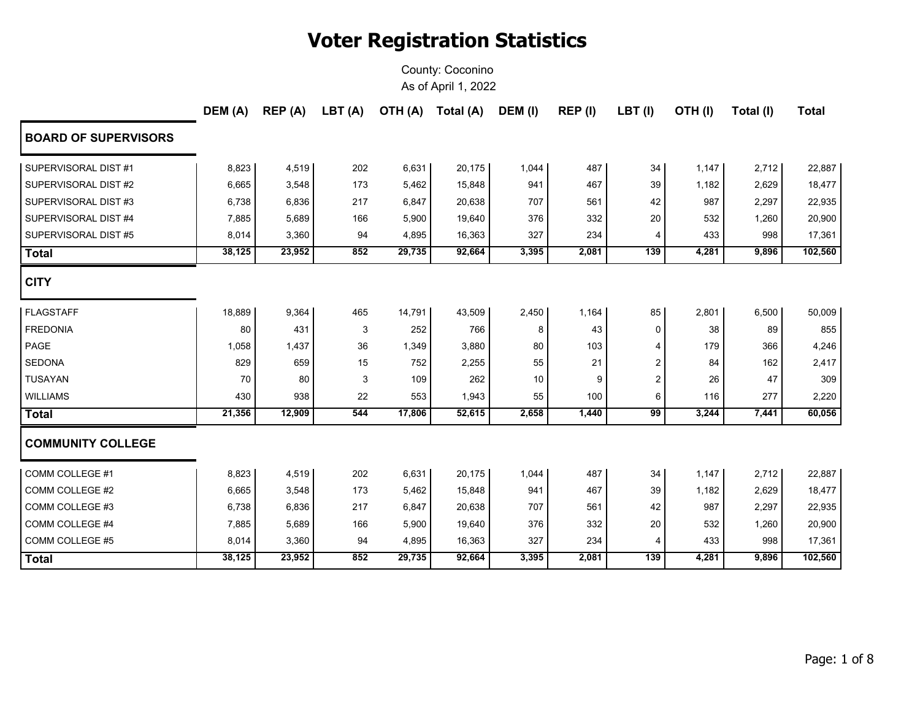|                             | DEM (A) | REP(A) | LBT(A) | OTH (A) | Total (A) | DEM (I) | REP (I) | LBT(I) | OTH(I) | Total (I) | <b>Total</b> |
|-----------------------------|---------|--------|--------|---------|-----------|---------|---------|--------|--------|-----------|--------------|
| <b>BOARD OF SUPERVISORS</b> |         |        |        |         |           |         |         |        |        |           |              |
| SUPERVISORAL DIST #1        | 8,823   | 4,519  | 202    | 6,631   | 20,175    | 1,044   | 487     | 34     | 1,147  | 2,712     | 22,887       |
| SUPERVISORAL DIST #2        | 6,665   | 3,548  | 173    | 5,462   | 15,848    | 941     | 467     | 39     | 1,182  | 2,629     | 18,477       |
| SUPERVISORAL DIST #3        | 6,738   | 6,836  | 217    | 6,847   | 20,638    | 707     | 561     | 42     | 987    | 2,297     | 22,935       |
| SUPERVISORAL DIST #4        | 7,885   | 5,689  | 166    | 5,900   | 19,640    | 376     | 332     | 20     | 532    | 1,260     | 20,900       |
| SUPERVISORAL DIST #5        | 8,014   | 3,360  | 94     | 4,895   | 16,363    | 327     | 234     | 4      | 433    | 998       | 17,361       |
| <b>Total</b>                | 38,125  | 23,952 | 852    | 29,735  | 92,664    | 3,395   | 2,081   | 139    | 4,281  | 9,896     | 102,560      |
| <b>CITY</b>                 |         |        |        |         |           |         |         |        |        |           |              |
| <b>FLAGSTAFF</b>            | 18,889  | 9,364  | 465    | 14,791  | 43,509    | 2,450   | 1,164   | 85     | 2,801  | 6,500     | 50,009       |
| <b>FREDONIA</b>             | 80      | 431    | 3      | 252     | 766       | 8       | 43      | 0      | 38     | 89        | 855          |
| PAGE                        | 1,058   | 1,437  | 36     | 1,349   | 3,880     | 80      | 103     | 4      | 179    | 366       | 4,246        |
| <b>SEDONA</b>               | 829     | 659    | 15     | 752     | 2,255     | 55      | 21      | 2      | 84     | 162       | 2,417        |
| <b>TUSAYAN</b>              | 70      | 80     | 3      | 109     | 262       | 10      | 9       | 2      | 26     | 47        | 309          |
| <b>WILLIAMS</b>             | 430     | 938    | 22     | 553     | 1,943     | 55      | 100     | 6      | 116    | 277       | 2,220        |
| <b>Total</b>                | 21,356  | 12,909 | 544    | 17,806  | 52,615    | 2,658   | 1,440   | 99     | 3,244  | 7,441     | 60,056       |
| <b>COMMUNITY COLLEGE</b>    |         |        |        |         |           |         |         |        |        |           |              |
| COMM COLLEGE #1             | 8,823   | 4,519  | 202    | 6,631   | 20,175    | 1,044   | 487     | 34     | 1,147  | 2,712     | 22,887       |
| COMM COLLEGE #2             | 6,665   | 3,548  | 173    | 5,462   | 15,848    | 941     | 467     | 39     | 1,182  | 2,629     | 18,477       |
| COMM COLLEGE #3             | 6,738   | 6,836  | 217    | 6,847   | 20,638    | 707     | 561     | 42     | 987    | 2,297     | 22,935       |
| COMM COLLEGE #4             | 7,885   | 5,689  | 166    | 5,900   | 19,640    | 376     | 332     | 20     | 532    | 1,260     | 20,900       |
| COMM COLLEGE #5             | 8,014   | 3,360  | 94     | 4,895   | 16,363    | 327     | 234     | 4      | 433    | 998       | 17,361       |
| <b>Total</b>                | 38,125  | 23,952 | 852    | 29,735  | 92,664    | 3,395   | 2,081   | 139    | 4,281  | 9,896     | 102,560      |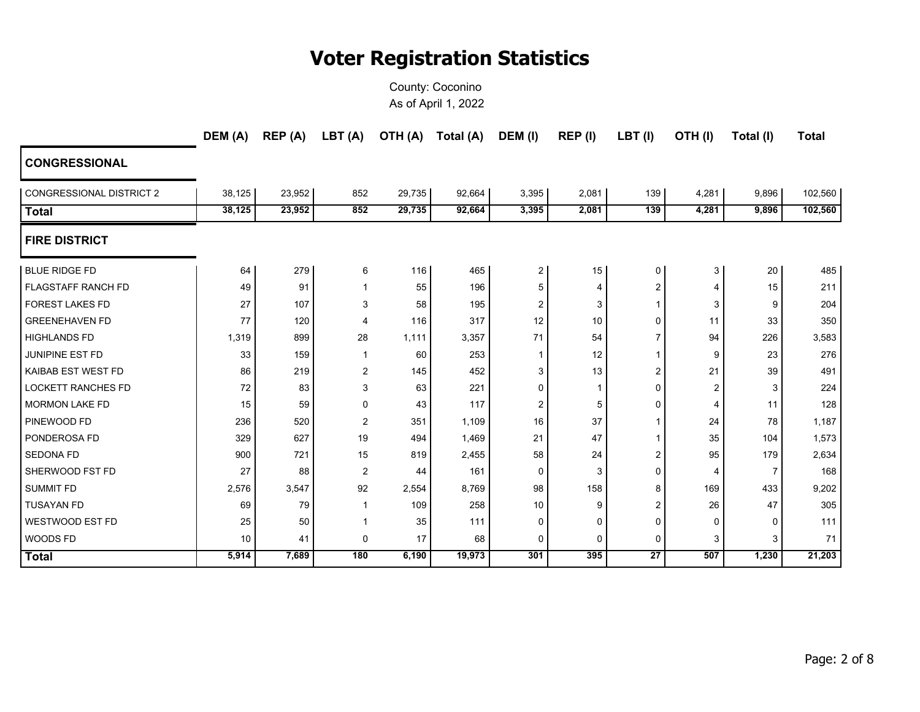|                                 | DEM (A) | REP(A) | LBT (A)        | (A) HTO | Total (A) | DEM (I)        | REP (I) | $LBT$ (I)       | OTH(I)         | Total (I) | <b>Total</b> |
|---------------------------------|---------|--------|----------------|---------|-----------|----------------|---------|-----------------|----------------|-----------|--------------|
| <b>CONGRESSIONAL</b>            |         |        |                |         |           |                |         |                 |                |           |              |
| <b>CONGRESSIONAL DISTRICT 2</b> | 38,125  | 23,952 | 852            | 29,735  | 92,664    | 3,395          | 2,081   | 139             | 4,281          | 9,896     | 102,560      |
| <b>Total</b>                    | 38,125  | 23,952 | 852            | 29,735  | 92,664    | 3,395          | 2,081   | 139             | 4,281          | 9,896     | 102,560      |
| <b>FIRE DISTRICT</b>            |         |        |                |         |           |                |         |                 |                |           |              |
| <b>BLUE RIDGE FD</b>            | 64      | 279    | 6              | 116     | 465       | $\overline{2}$ | 15      | 0               | 3              | 20        | 485          |
| <b>FLAGSTAFF RANCH FD</b>       | 49      | 91     | $\mathbf{1}$   | 55      | 196       | 5              | 4       | 2               | 4              | 15        | 211          |
| <b>FOREST LAKES FD</b>          | 27      | 107    | 3              | 58      | 195       | $\overline{2}$ | 3       | $\mathbf{1}$    | 3              | 9         | 204          |
| <b>GREENEHAVEN FD</b>           | 77      | 120    | 4              | 116     | 317       | 12             | 10      | 0               | 11             | 33        | 350          |
| <b>HIGHLANDS FD</b>             | 1,319   | 899    | 28             | 1,111   | 3,357     | 71             | 54      | $\overline{7}$  | 94             | 226       | 3,583        |
| JUNIPINE EST FD                 | 33      | 159    | 1              | 60      | 253       | 1              | 12      | 1               | 9              | 23        | 276          |
| <b>KAIBAB EST WEST FD</b>       | 86      | 219    | 2              | 145     | 452       | 3              | 13      | 2               | 21             | 39        | 491          |
| <b>LOCKETT RANCHES FD</b>       | 72      | 83     | 3              | 63      | 221       | 0              | 1       | 0               | 2              | 3         | 224          |
| <b>MORMON LAKE FD</b>           | 15      | 59     | 0              | 43      | 117       | 2              | 5       | 0               | $\overline{4}$ | 11        | 128          |
| PINEWOOD FD                     | 236     | 520    | $\overline{2}$ | 351     | 1,109     | 16             | 37      |                 | 24             | 78        | 1,187        |
| <b>PONDEROSA FD</b>             | 329     | 627    | 19             | 494     | 1,469     | 21             | 47      | 1               | 35             | 104       | 1,573        |
| <b>SEDONA FD</b>                | 900     | 721    | 15             | 819     | 2,455     | 58             | 24      | 2               | 95             | 179       | 2,634        |
| SHERWOOD FST FD                 | 27      | 88     | $\overline{2}$ | 44      | 161       | $\Omega$       | 3       | 0               | $\overline{4}$ | 7         | 168          |
| <b>SUMMIT FD</b>                | 2,576   | 3,547  | 92             | 2,554   | 8,769     | 98             | 158     | 8               | 169            | 433       | 9,202        |
| <b>TUSAYAN FD</b>               | 69      | 79     | 1              | 109     | 258       | 10             | 9       | 2               | 26             | 47        | 305          |
| <b>WESTWOOD EST FD</b>          | 25      | 50     | $\mathbf{1}$   | 35      | 111       | 0              | 0       | $\mathbf 0$     | 0              | 0         | 111          |
| <b>WOODS FD</b>                 | 10      | 41     | 0              | 17      | 68        | 0              | 0       | 0               | 3              | 3         | 71           |
| <b>Total</b>                    | 5,914   | 7,689  | 180            | 6,190   | 19,973    | 301            | 395     | $\overline{27}$ | 507            | 1,230     | 21,203       |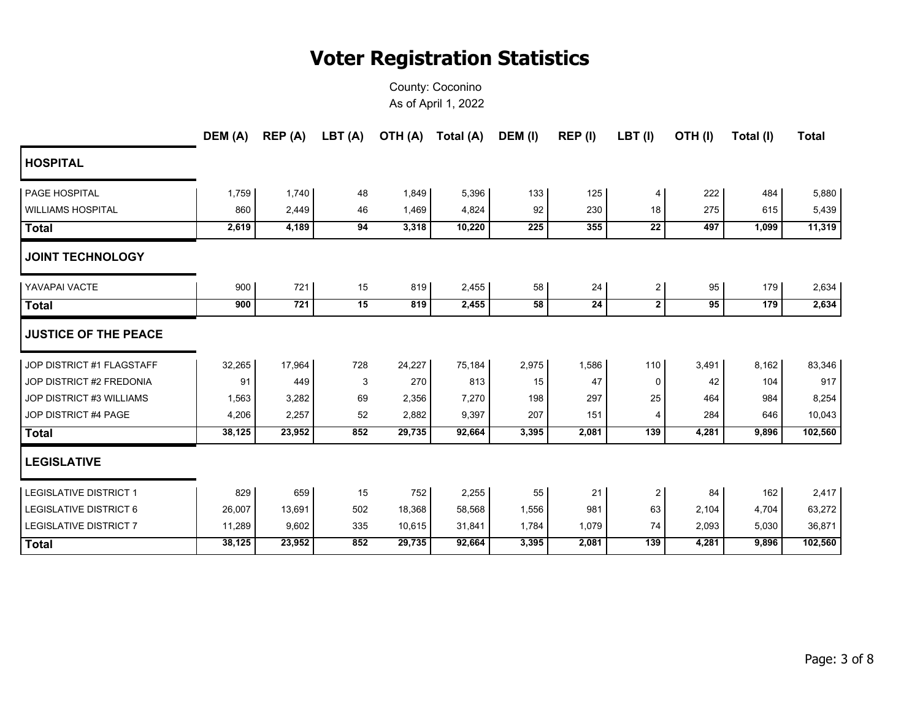|                                 | DEM (A) | REP (A) | LBT (A) | OTH (A) | Total (A) | DEM (I) | REP (I) | $LBT$ (I)               | OTH(I) | Total (I) | <b>Total</b> |
|---------------------------------|---------|---------|---------|---------|-----------|---------|---------|-------------------------|--------|-----------|--------------|
| <b>HOSPITAL</b>                 |         |         |         |         |           |         |         |                         |        |           |              |
| <b>PAGE HOSPITAL</b>            | 1,759   | 1,740   | 48      | 1,849   | 5,396     | 133     | 125     | 4                       | 222    | 484       | 5,880        |
| <b>WILLIAMS HOSPITAL</b>        | 860     | 2,449   | 46      | 1,469   | 4,824     | 92      | 230     | 18                      | 275    | 615       | 5,439        |
| <b>Total</b>                    | 2,619   | 4,189   | 94      | 3,318   | 10,220    | 225     | 355     | $\overline{22}$         | 497    | 1,099     | 11,319       |
| <b>JOINT TECHNOLOGY</b>         |         |         |         |         |           |         |         |                         |        |           |              |
| YAVAPAI VACTE                   | 900     | 721     | 15      | 819     | 2,455     | 58      | 24      | $\overline{2}$          | 95     | 179       | 2,634        |
| <b>Total</b>                    | 900     | 721     | 15      | 819     | 2,455     | 58      | 24      | $\mathbf{2}$            | 95     | 179       | 2,634        |
| <b>JUSTICE OF THE PEACE</b>     |         |         |         |         |           |         |         |                         |        |           |              |
| JOP DISTRICT #1 FLAGSTAFF       | 32,265  | 17,964  | 728     | 24,227  | 75,184    | 2,975   | 1,586   | 110                     | 3,491  | 8,162     | 83,346       |
| JOP DISTRICT #2 FREDONIA        | 91      | 449     | 3       | 270     | 813       | 15      | 47      | 0                       | 42     | 104       | 917          |
| <b>JOP DISTRICT #3 WILLIAMS</b> | 1,563   | 3,282   | 69      | 2,356   | 7,270     | 198     | 297     | 25                      | 464    | 984       | 8,254        |
| JOP DISTRICT #4 PAGE            | 4,206   | 2,257   | 52      | 2,882   | 9,397     | 207     | 151     | 4                       | 284    | 646       | 10,043       |
| <b>Total</b>                    | 38,125  | 23,952  | 852     | 29,735  | 92,664    | 3,395   | 2,081   | 139                     | 4,281  | 9,896     | 102,560      |
| <b>LEGISLATIVE</b>              |         |         |         |         |           |         |         |                         |        |           |              |
| <b>LEGISLATIVE DISTRICT 1</b>   | 829     | 659     | 15      | 752     | 2,255     | 55      | 21      | $\overline{\mathbf{c}}$ | 84     | 162       | 2,417        |
| <b>LEGISLATIVE DISTRICT 6</b>   | 26,007  | 13,691  | 502     | 18,368  | 58,568    | 1,556   | 981     | 63                      | 2,104  | 4,704     | 63,272       |
| <b>LEGISLATIVE DISTRICT 7</b>   | 11,289  | 9,602   | 335     | 10,615  | 31,841    | 1,784   | 1,079   | 74                      | 2,093  | 5,030     | 36,871       |
| <b>Total</b>                    | 38,125  | 23,952  | 852     | 29,735  | 92,664    | 3,395   | 2,081   | 139                     | 4,281  | 9,896     | 102,560      |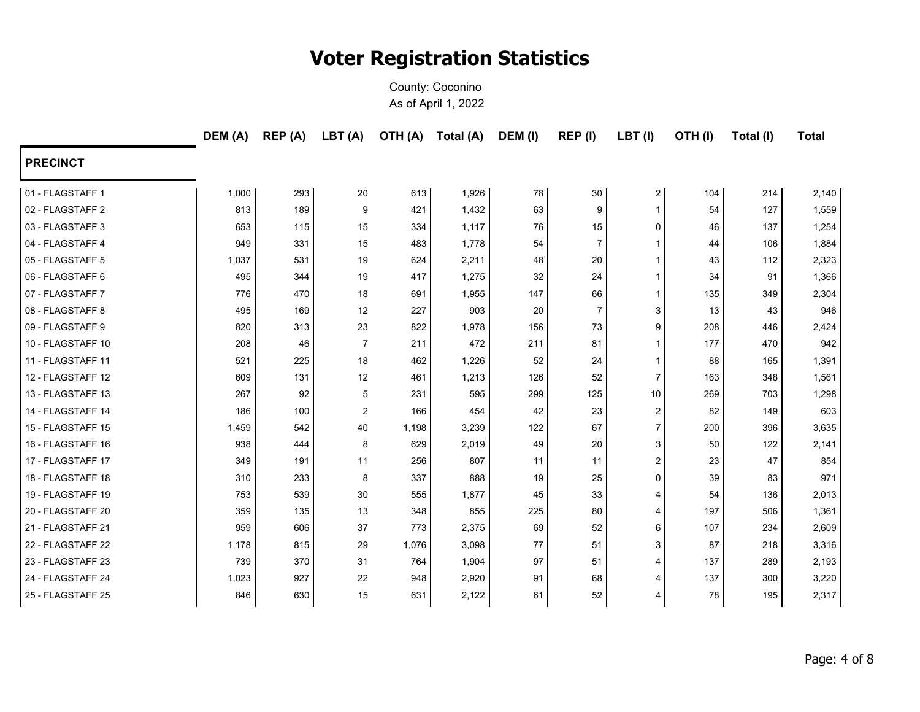|                   | DEM (A) | REP(A) | LBT(A)           | OTH (A) | Total (A) | DEM (I) | REP (I)        | LBT(I)         | OTH(I) | Total (I) | <b>Total</b> |
|-------------------|---------|--------|------------------|---------|-----------|---------|----------------|----------------|--------|-----------|--------------|
| <b>PRECINCT</b>   |         |        |                  |         |           |         |                |                |        |           |              |
| 01 - FLAGSTAFF 1  | 1,000   | 293    | 20               | 613     | 1,926     | 78      | 30             | 2 <sub>1</sub> | 104    | 214       | 2,140        |
| 02 - FLAGSTAFF 2  | 813     | 189    | 9                | 421     | 1,432     | 63      | 9              | $\mathbf{1}$   | 54     | 127       | 1,559        |
| 03 - FLAGSTAFF 3  | 653     | 115    | 15               | 334     | 1,117     | 76      | 15             | 0              | 46     | 137       | 1,254        |
| 04 - FLAGSTAFF 4  | 949     | 331    | 15               | 483     | 1,778     | 54      | $\overline{7}$ | $\mathbf 1$    | 44     | 106       | 1,884        |
| 05 - FLAGSTAFF 5  | 1,037   | 531    | 19               | 624     | 2,211     | 48      | 20             | $\mathbf{1}$   | 43     | 112       | 2,323        |
| 06 - FLAGSTAFF 6  | 495     | 344    | 19               | 417     | 1,275     | 32      | 24             | $\mathbf{1}$   | 34     | 91        | 1,366        |
| 07 - FLAGSTAFF 7  | 776     | 470    | 18               | 691     | 1,955     | 147     | 66             | $\mathbf{1}$   | 135    | 349       | 2,304        |
| 08 - FLAGSTAFF 8  | 495     | 169    | 12               | 227     | 903       | 20      | $\overline{7}$ | 3              | 13     | 43        | 946          |
| 09 - FLAGSTAFF 9  | 820     | 313    | 23               | 822     | 1,978     | 156     | 73             | 9              | 208    | 446       | 2,424        |
| 10 - FLAGSTAFF 10 | 208     | 46     | $\overline{7}$   | 211     | 472       | 211     | 81             | $\mathbf{1}$   | 177    | 470       | 942          |
| 11 - FLAGSTAFF 11 | 521     | 225    | 18               | 462     | 1,226     | 52      | 24             | $\mathbf{1}$   | 88     | 165       | 1,391        |
| 12 - FLAGSTAFF 12 | 609     | 131    | 12               | 461     | 1,213     | 126     | 52             | $\overline{7}$ | 163    | 348       | 1,561        |
| 13 - FLAGSTAFF 13 | 267     | 92     | 5                | 231     | 595       | 299     | 125            | 10             | 269    | 703       | 1,298        |
| 14 - FLAGSTAFF 14 | 186     | 100    | $\boldsymbol{2}$ | 166     | 454       | 42      | 23             | 2              | 82     | 149       | 603          |
| 15 - FLAGSTAFF 15 | 1,459   | 542    | 40               | 1,198   | 3,239     | 122     | 67             | $\overline{7}$ | 200    | 396       | 3,635        |
| 16 - FLAGSTAFF 16 | 938     | 444    | 8                | 629     | 2,019     | 49      | 20             | 3              | 50     | 122       | 2,141        |
| 17 - FLAGSTAFF 17 | 349     | 191    | 11               | 256     | 807       | 11      | 11             | $\overline{2}$ | 23     | 47        | 854          |
| 18 - FLAGSTAFF 18 | 310     | 233    | 8                | 337     | 888       | 19      | 25             | 0              | 39     | 83        | 971          |
| 19 - FLAGSTAFF 19 | 753     | 539    | 30               | 555     | 1,877     | 45      | 33             | 4              | 54     | 136       | 2,013        |
| 20 - FLAGSTAFF 20 | 359     | 135    | 13               | 348     | 855       | 225     | 80             | 4              | 197    | 506       | 1,361        |
| 21 - FLAGSTAFF 21 | 959     | 606    | 37               | 773     | 2,375     | 69      | 52             | 6              | 107    | 234       | 2,609        |
| 22 - FLAGSTAFF 22 | 1,178   | 815    | 29               | 1,076   | 3,098     | 77      | 51             | 3              | 87     | 218       | 3,316        |
| 23 - FLAGSTAFF 23 | 739     | 370    | 31               | 764     | 1,904     | 97      | 51             | 4              | 137    | 289       | 2,193        |
| 24 - FLAGSTAFF 24 | 1,023   | 927    | 22               | 948     | 2,920     | 91      | 68             | 4              | 137    | 300       | 3,220        |
| 25 - FLAGSTAFF 25 | 846     | 630    | 15               | 631     | 2,122     | 61      | 52             | 4              | 78     | 195       | 2,317        |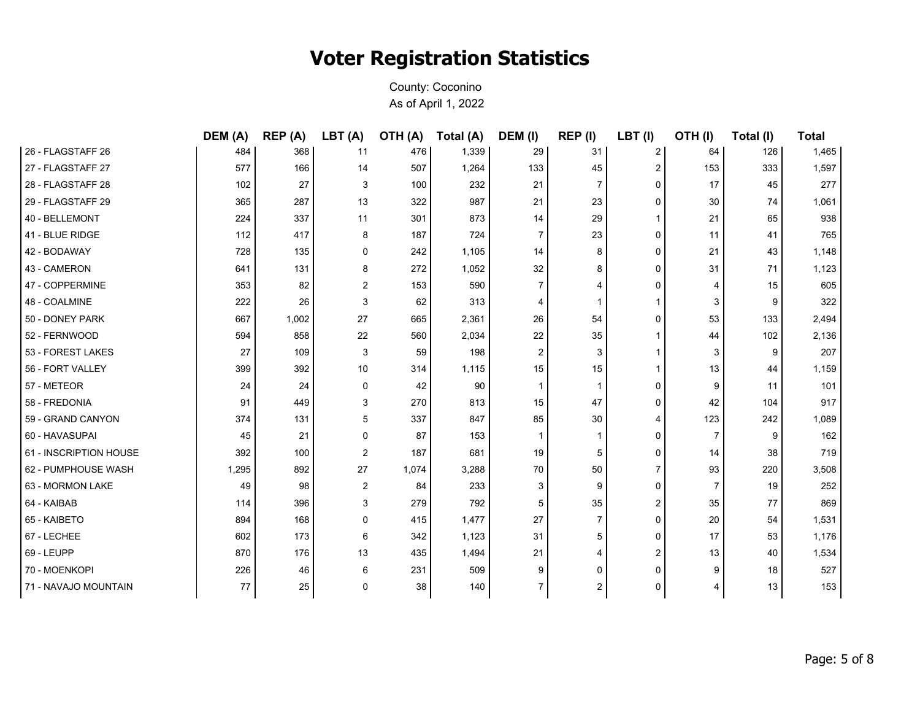|                        | DEM (A) | REP (A) | LBT (A) | OTH (A) | Total (A) | DEM (I)        | REP (I)        | LBT (I) | OTH(I)         | Total (I) | Total |
|------------------------|---------|---------|---------|---------|-----------|----------------|----------------|---------|----------------|-----------|-------|
| 26 - FLAGSTAFF 26      | 484     | 368     | 11      | 476     | 1,339     | 29             | 31             | 2       | 64             | 126       | 1,465 |
| 27 - FLAGSTAFF 27      | 577     | 166     | 14      | 507     | 1,264     | 133            | 45             | 2       | 153            | 333       | 1,597 |
| 28 - FLAGSTAFF 28      | 102     | 27      | 3       | 100     | 232       | 21             | $\overline{7}$ | 0       | 17             | 45        | 277   |
| 29 - FLAGSTAFF 29      | 365     | 287     | 13      | 322     | 987       | 21             | 23             | 0       | 30             | 74        | 1,061 |
| 40 - BELLEMONT         | 224     | 337     | 11      | 301     | 873       | 14             | 29             | 1       | 21             | 65        | 938   |
| 41 - BLUE RIDGE        | 112     | 417     | 8       | 187     | 724       | $\overline{7}$ | 23             | 0       | 11             | 41        | 765   |
| 42 - BODAWAY           | 728     | 135     | 0       | 242     | 1,105     | 14             | 8              | 0       | 21             | 43        | 1,148 |
| 43 - CAMERON           | 641     | 131     | 8       | 272     | 1,052     | 32             | 8              | 0       | 31             | 71        | 1,123 |
| 47 - COPPERMINE        | 353     | 82      | 2       | 153     | 590       | $\overline{7}$ | 4              | 0       | 4              | 15        | 605   |
| 48 - COALMINE          | 222     | 26      | 3       | 62      | 313       | 4              | 1              | 1       | 3              | 9         | 322   |
| 50 - DONEY PARK        | 667     | 1,002   | 27      | 665     | 2,361     | 26             | 54             | 0       | 53             | 133       | 2,494 |
| 52 - FERNWOOD          | 594     | 858     | 22      | 560     | 2,034     | 22             | 35             | 1       | 44             | 102       | 2,136 |
| 53 - FOREST LAKES      | 27      | 109     | 3       | 59      | 198       | 2              | 3              |         | 3              | 9         | 207   |
| 56 - FORT VALLEY       | 399     | 392     | 10      | 314     | 1,115     | 15             | 15             | 1       | 13             | 44        | 1,159 |
| 57 - METEOR            | 24      | 24      | 0       | 42      | 90        | $\mathbf 1$    | $\mathbf{1}$   | 0       | 9              | 11        | 101   |
| 58 - FREDONIA          | 91      | 449     | 3       | 270     | 813       | 15             | 47             | 0       | 42             | 104       | 917   |
| 59 - GRAND CANYON      | 374     | 131     | 5       | 337     | 847       | 85             | 30             | 4       | 123            | 242       | 1,089 |
| 60 - HAVASUPAI         | 45      | 21      | 0       | 87      | 153       | $\mathbf 1$    | 1              | 0       | $\overline{7}$ | 9         | 162   |
| 61 - INSCRIPTION HOUSE | 392     | 100     | 2       | 187     | 681       | 19             | 5              | 0       | 14             | 38        | 719   |
| 62 - PUMPHOUSE WASH    | 1,295   | 892     | 27      | 1,074   | 3,288     | 70             | 50             | 7       | 93             | 220       | 3,508 |
| 63 - MORMON LAKE       | 49      | 98      | 2       | 84      | 233       | 3              | 9              | 0       | $\overline{7}$ | 19        | 252   |
| 64 - KAIBAB            | 114     | 396     | 3       | 279     | 792       | 5              | 35             | 2       | 35             | 77        | 869   |
| 65 - KAIBETO           | 894     | 168     | 0       | 415     | 1,477     | 27             | $\overline{7}$ | 0       | 20             | 54        | 1,531 |
| 67 - LECHEE            | 602     | 173     | 6       | 342     | 1,123     | 31             | 5              | 0       | 17             | 53        | 1,176 |
| 69 - LEUPP             | 870     | 176     | 13      | 435     | 1,494     | 21             | 4              | 2       | 13             | 40        | 1,534 |
| 70 - MOENKOPI          | 226     | 46      | 6       | 231     | 509       | 9              | $\Omega$       | 0       | 9              | 18        | 527   |
| 71 - NAVAJO MOUNTAIN   | 77      | 25      | 0       | 38      | 140       | 7              | 2              | 0       | 4              | 13        | 153   |
|                        |         |         |         |         |           |                |                |         |                |           |       |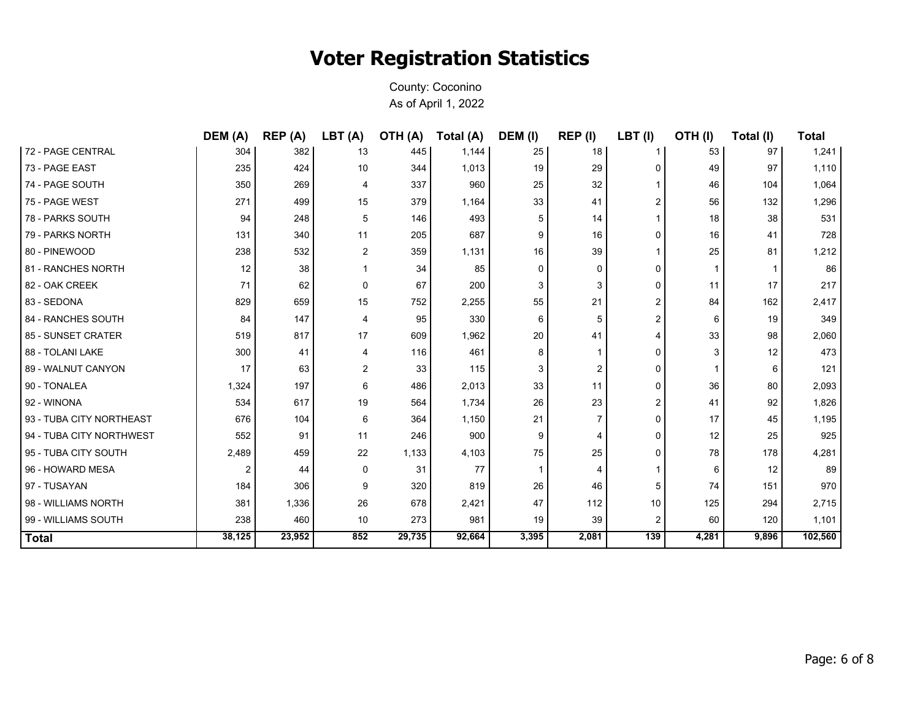|                          | DEM (A) | REP (A) | LBT(A)         | OTH (A) | Total (A) | DEM (I)  | REP (I)        | $LBT$ (I)      | OTH(I) | Total (I) | <b>Total</b> |
|--------------------------|---------|---------|----------------|---------|-----------|----------|----------------|----------------|--------|-----------|--------------|
| 72 - PAGE CENTRAL        | 304     | 382     | 13             | 445     | 1,144     | 25       | 18             |                | 53     | 97        | 1,241        |
| 73 - PAGE EAST           | 235     | 424     | 10             | 344     | 1,013     | 19       | 29             | 0              | 49     | 97        | 1,110        |
| 74 - PAGE SOUTH          | 350     | 269     | 4              | 337     | 960       | 25       | 32             | 1              | 46     | 104       | 1,064        |
| 75 - PAGE WEST           | 271     | 499     | 15             | 379     | 1,164     | 33       | 41             | 2              | 56     | 132       | 1,296        |
| 78 - PARKS SOUTH         | 94      | 248     | 5              | 146     | 493       | 5        | 14             | $\mathbf{1}$   | 18     | 38        | 531          |
| 79 - PARKS NORTH         | 131     | 340     | 11             | 205     | 687       | 9        | 16             | 0              | 16     | 41        | 728          |
| 80 - PINEWOOD            | 238     | 532     | $\overline{2}$ | 359     | 1,131     | 16       | 39             | $\mathbf{1}$   | 25     | 81        | 1,212        |
| 81 - RANCHES NORTH       | 12      | 38      | 1              | 34      | 85        | $\Omega$ | $\Omega$       | 0              |        |           | 86           |
| 82 - OAK CREEK           | 71      | 62      | $\mathbf 0$    | 67      | 200       | 3        | 3              | 0              | 11     | 17        | 217          |
| 83 - SEDONA              | 829     | 659     | 15             | 752     | 2,255     | 55       | 21             | $\overline{2}$ | 84     | 162       | 2,417        |
| 84 - RANCHES SOUTH       | 84      | 147     | 4              | 95      | 330       | 6        | 5              | 2              | 6      | 19        | 349          |
| 85 - SUNSET CRATER       | 519     | 817     | 17             | 609     | 1,962     | 20       | 41             | 4              | 33     | 98        | 2,060        |
| 88 - TOLANI LAKE         | 300     | 41      | 4              | 116     | 461       | 8        |                | 0              | 3      | 12        | 473          |
| 89 - WALNUT CANYON       | 17      | 63      | $\overline{2}$ | 33      | 115       | 3        | $\overline{2}$ | 0              |        | 6         | 121          |
| 90 - TONALEA             | 1,324   | 197     | 6              | 486     | 2,013     | 33       | 11             | 0              | 36     | 80        | 2,093        |
| 92 - WINONA              | 534     | 617     | 19             | 564     | 1,734     | 26       | 23             | $\overline{2}$ | 41     | 92        | 1,826        |
| 93 - TUBA CITY NORTHEAST | 676     | 104     | 6              | 364     | 1,150     | 21       | 7              | 0              | 17     | 45        | 1,195        |
| 94 - TUBA CITY NORTHWEST | 552     | 91      | 11             | 246     | 900       | 9        | 4              | 0              | 12     | 25        | 925          |
| 95 - TUBA CITY SOUTH     | 2,489   | 459     | 22             | 1,133   | 4,103     | 75       | 25             | 0              | 78     | 178       | 4,281        |
| 96 - HOWARD MESA         |         | 44      | $\mathbf 0$    | 31      | 77        |          | 4              | 1              | 6      | 12        | 89           |
| 97 - TUSAYAN             | 184     | 306     | 9              | 320     | 819       | 26       | 46             | 5              | 74     | 151       | 970          |
| 98 - WILLIAMS NORTH      | 381     | 1,336   | 26             | 678     | 2,421     | 47       | 112            | 10             | 125    | 294       | 2,715        |
| 99 - WILLIAMS SOUTH      | 238     | 460     | 10             | 273     | 981       | 19       | 39             | 2              | 60     | 120       | 1,101        |
| <b>Total</b>             | 38,125  | 23,952  | 852            | 29,735  | 92,664    | 3,395    | 2,081          | 139            | 4,281  | 9,896     | 102,560      |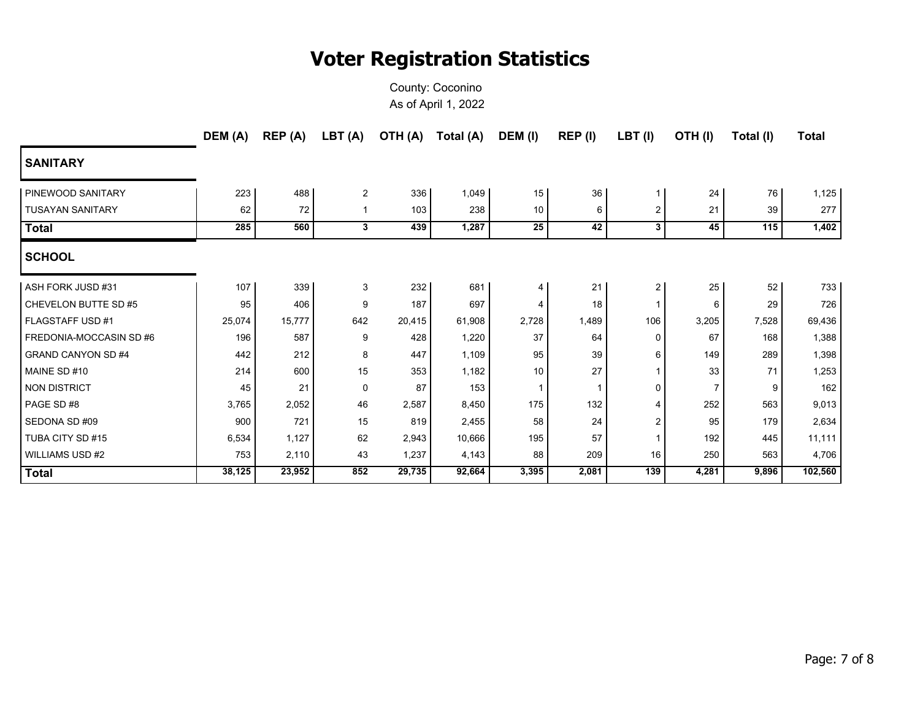|                           | DEM (A) | REP (A) | LBT (A)        | OTH (A) | Total (A) | DEM (I)         | REP (I) | LBT(I)         | OTH(I)         | Total (I) | <b>Total</b> |
|---------------------------|---------|---------|----------------|---------|-----------|-----------------|---------|----------------|----------------|-----------|--------------|
| <b>SANITARY</b>           |         |         |                |         |           |                 |         |                |                |           |              |
| PINEWOOD SANITARY         | 223     | 488     | $\overline{2}$ | 336     | 1,049     | 15 <sup>1</sup> | 36      |                | 24             | 76        | 1,125        |
| <b>TUSAYAN SANITARY</b>   | 62      | 72      | -1             | 103     | 238       | 10 <sup>1</sup> | 6       | $\overline{c}$ | 21             | 39        | 277          |
| <b>Total</b>              | 285     | 560     | 3              | 439     | 1,287     | 25              | 42      | 3              | 45             | 115       | 1,402        |
| <b>SCHOOL</b>             |         |         |                |         |           |                 |         |                |                |           |              |
| ASH FORK JUSD #31         | 107     | 339     | 3              | 232     | 681       | 4               | 21      | 2              | 25             | 52        | 733          |
| CHEVELON BUTTE SD #5      | 95      | 406     | 9              | 187     | 697       | 4               | 18      | 1              | 6              | 29        | 726          |
| <b>FLAGSTAFF USD #1</b>   | 25,074  | 15,777  | 642            | 20,415  | 61,908    | 2,728           | 1,489   | 106            | 3,205          | 7,528     | 69,436       |
| FREDONIA-MOCCASIN SD #6   | 196     | 587     | 9              | 428     | 1,220     | 37              | 64      | 0              | 67             | 168       | 1,388        |
| <b>GRAND CANYON SD #4</b> | 442     | 212     | 8              | 447     | 1,109     | 95              | 39      | 6              | 149            | 289       | 1,398        |
| MAINE SD #10              | 214     | 600     | 15             | 353     | 1,182     | 10 <sup>°</sup> | 27      | $\mathbf{1}$   | 33             | 71        | 1,253        |
| <b>NON DISTRICT</b>       | 45      | 21      | $\mathbf 0$    | 87      | 153       | 1               |         | 0              | $\overline{7}$ | 9         | 162          |
| PAGE SD #8                | 3,765   | 2,052   | 46             | 2,587   | 8,450     | 175             | 132     | 4              | 252            | 563       | 9,013        |
| SEDONA SD #09             | 900     | 721     | 15             | 819     | 2,455     | 58              | 24      | 2              | 95             | 179       | 2,634        |
| TUBA CITY SD #15          | 6,534   | 1,127   | 62             | 2,943   | 10,666    | 195             | 57      | $\mathbf 1$    | 192            | 445       | 11,111       |
| <b>WILLIAMS USD #2</b>    | 753     | 2,110   | 43             | 1,237   | 4,143     | 88              | 209     | 16             | 250            | 563       | 4,706        |
| <b>Total</b>              | 38,125  | 23,952  | 852            | 29,735  | 92,664    | 3,395           | 2,081   | 139            | 4,281          | 9,896     | 102,560      |